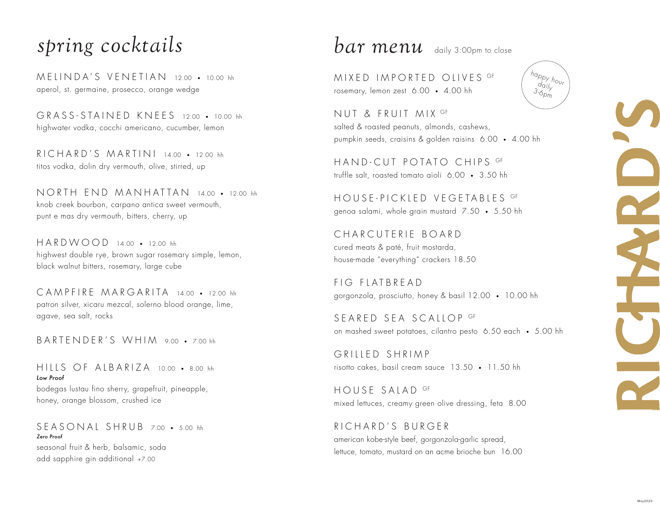### *spring cocktails*

MELINDA'S VENETIAN 12.00 • 10.00 hh aperol, st. germaine, prosecco, orange wedge

GRASS-STAINED KNEES 12.00 • 10.00 hh highwater vodka, cocchi americano, cucumber, lemon

RICHARD'S MARTINI 14.00 • 12.00 hh titos vodka, dolin dry vermouth, olive, stirred, up

NORTH END MANHATTAN 14.00 • 12.00 hh knob creek bourbon, carpano antica sweet vermouth, punt e mas dry vermouth, bitters, cherry, up

HARDWOOD 14.00 • 12.00 hh highwest double rye, brown sugar rosemary simple, lemon, black walnut bitters, rosemary, large cube

CAMPFIRE MARGARITA 14.00 • 12.00 hh patron silver, xicaru mezcal, solerno blood orange, lime, agave, sea salt, rocks

BARTENDER'S WHIM 9.00 · 700 hh

HILLS OF ALBARIZA 10.00 • 8.00 hh *Low Proof* bodegas lustau fino sherry, grapefruit, pineapple, honey, orange blossom, crushed ice

SEASONAL SHRUB 7.00 • 5.00 hh *Zero Proof*

seasonal fruit & herb, balsamic, soda add sapphire gin additional +7.00

 $bar$   $\alpha$ r menu daily 3:00pm to close

MIXED IMPORTED OLIVES GF rosemary, lemon zest 6.00 • 4.00 hh

NUT & FRUIT MIX GF salted & roasted peanuts, almonds, cashews, pumpkin seeds, craisins & golden raisins 6.00 • 4.00 hh

HAND-CUT POTATO CHIPS GF truffle salt, roasted tomato aïoli 6.00 • 3.50 hh

HOUSE-PICKLED VEGETABLES GF genoa salami, whole grain mustard 7.50 • 5.50 hh

CHARCUTERIE BOARD cured meats & paté, fruit mostarda, house-made "everything" crackers 18.50

FIG FLATBREAD gorgonzola, prosciutto, honey & basil 12.00 • 10.00 hh

SEARED SEA SCALLOP GF on mashed sweet potatoes, cilantro pesto 6.50 each • 5.00 hh

GRILLED SHRIMP risotto cakes, basil cream sauce 13.50 • 11.50 hh

HOUSE SALAD GF mixed lettuces, creamy green olive dressing, feta 8.00

RICHARD'S BURGER american kobe-style beef, gorgonzola-garlic spread, lettuce, tomato, mustard on an acme brioche bun 16.00 happy hour  $d_{Q}/\sqrt{Q}$  $3 - 6p$